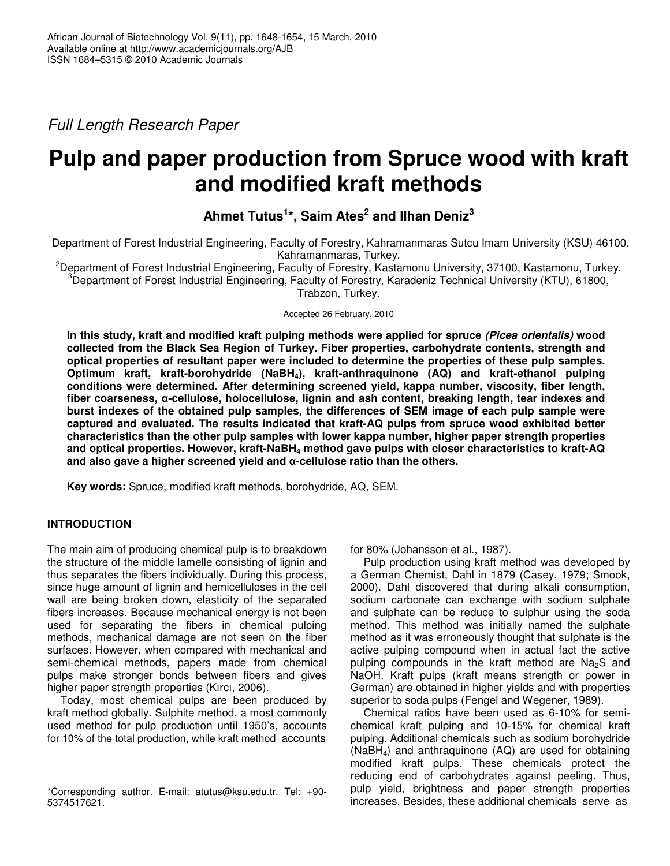*Full Length Research Paper*

# **Pulp and paper production from Spruce wood with kraft and modified kraft methods**

# **Ahmet Tutus 1 \*, Saim Ates 2 and Ilhan Deniz 3**

<sup>1</sup>Department of Forest Industrial Engineering, Faculty of Forestry, Kahramanmaras Sutcu Imam University (KSU) 46100, Kahramanmaras, Turkey.

<sup>2</sup>Department of Forest Industrial Engineering, Faculty of Forestry, Kastamonu University, 37100, Kastamonu, Turkey. <sup>3</sup>Department of Forest Industrial Engineering, Faculty of Forestry, Karadeniz Technical University (KTU), 61800, Trabzon, Turkey.

Accepted 26 February, 2010

**In this study, kraft and modified kraft pulping methods were applied for spruce** *(Picea orientalis)* **wood collected from the Black Sea Region of Turkey. Fiber properties, carbohydrate contents, strength and optical properties of resultant paper were included to determine the properties of these pulp samples. Optimum kraft, kraft-borohydride (NaBH4), kraft-anthraquinone (AQ) and kraft-ethanol pulping conditions were determined. After determining screened yield, kappa number, viscosity, fiber length, fiber coarseness, -cellulose, holocellulose, lignin and ash content, breaking length, tear indexes and burst indexes of the obtained pulp samples, the differences of SEM image of each pulp sample were captured and evaluated. The results indicated that kraft-AQ pulps from spruce wood exhibited better characteristics than the other pulp samples with lower kappa number, higher paper strength properties and optical properties. However, kraft-NaBH<sup>4</sup> method gave pulps with closer characteristics to kraft-AQ and also gave a higher screened yield and -cellulose ratio than the others.**

**Key words:** Spruce, modified kraft methods, borohydride, AQ, SEM.

# **INTRODUCTION**

The main aim of producing chemical pulp is to breakdown the structure of the middle lamelle consisting of lignin and thus separates the fibers individually. During this process, since huge amount of lignin and hemicelluloses in the cell wall are being broken down, elasticity of the separated fibers increases. Because mechanical energy is not been used for separating the fibers in chemical pulping methods, mechanical damage are not seen on the fiber surfaces. However, when compared with mechanical and semi-chemical methods, papers made from chemical pulps make stronger bonds between fibers and gives higher paper strength properties (Kırcı, 2006).

Today, most chemical pulps are been produced by kraft method globally. Sulphite method, a most commonly used method for pulp production until 1950's, accounts for 10% of the total production, while kraft method accounts

for 80% (Johansson et al., 1987).

Pulp production using kraft method was developed by a German Chemist, Dahl in 1879 (Casey, 1979; Smook, 2000). Dahl discovered that during alkali consumption, sodium carbonate can exchange with sodium sulphate and sulphate can be reduce to sulphur using the soda method. This method was initially named the sulphate method as it was erroneously thought that sulphate is the active pulping compound when in actual fact the active pulping compounds in the kraft method are  $Na<sub>2</sub>S$  and NaOH. Kraft pulps (kraft means strength or power in German) are obtained in higher yields and with properties superior to soda pulps (Fengel and Wegener, 1989).

Chemical ratios have been used as 6-10% for semichemical kraft pulping and 10-15% for chemical kraft pulping. Additional chemicals such as sodium borohydride  $(NaBH<sub>4</sub>)$  and anthraquinone  $(AQ)$  are used for obtaining modified kraft pulps. These chemicals protect the reducing end of carbohydrates against peeling. Thus, pulp yield, brightness and paper strength properties increases. Besides, these additional chemicals serve as

<sup>\*</sup>Corresponding author. E-mail: atutus@ksu.edu.tr. Tel: +90- 5374517621.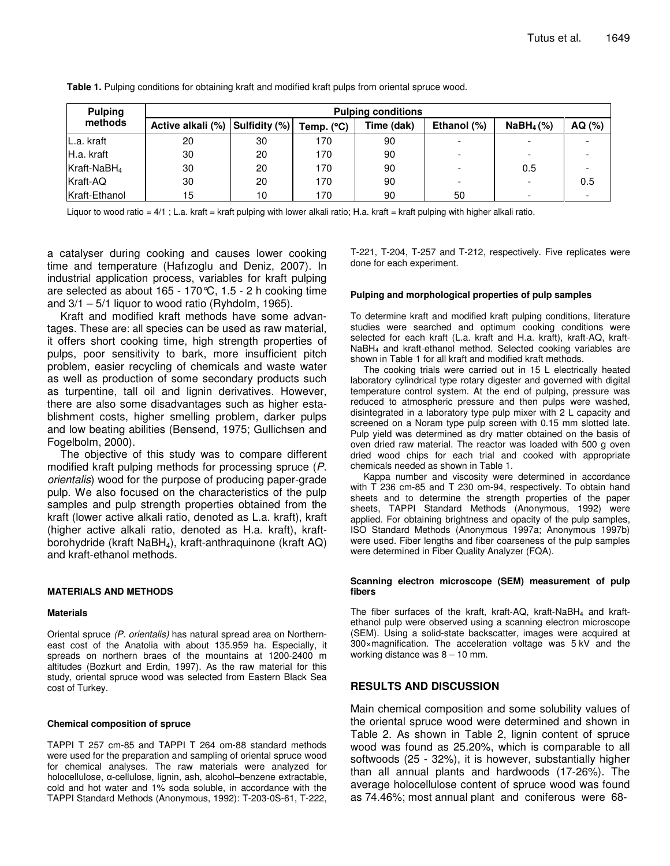| <b>Pulping</b>          | <b>Pulping conditions</b>       |    |              |            |             |                          |        |  |  |  |  |  |
|-------------------------|---------------------------------|----|--------------|------------|-------------|--------------------------|--------|--|--|--|--|--|
| methods                 | Active alkali (%) Sulfidity (%) |    | Temp. $(°C)$ | Time (dak) | Ethanol (%) | $N$ aBH <sub>4</sub> (%) | AQ (%) |  |  |  |  |  |
| L.a. kraft              | 20                              | 30 | 170          | 90         |             |                          |        |  |  |  |  |  |
| IH.a. kraft             | 30                              | 20 | 170          | 90         |             |                          |        |  |  |  |  |  |
| Kraft-NaBH <sub>4</sub> | 30                              | 20 | 170          | 90         |             | 0.5                      |        |  |  |  |  |  |
| Kraft-AQ                | 30                              | 20 | 170          | 90         |             | -                        | 0.5    |  |  |  |  |  |
| Kraft-Ethanol           | 15                              | 10 | 170          | 90         | 50          |                          |        |  |  |  |  |  |

**Table 1.** Pulping conditions for obtaining kraft and modified kraft pulps from oriental spruce wood.

Liquor to wood ratio = 4/1; L.a. kraft = kraft pulping with lower alkali ratio; H.a. kraft = kraft pulping with higher alkali ratio.

a catalyser during cooking and causes lower cooking time and temperature (Hafızoglu and Deniz, 2007). In industrial application process, variables for kraft pulping are selected as about 165 - 170°C, 1.5 - 2 h cooking time and  $3/1 - 5/1$  liquor to wood ratio (Ryhdolm, 1965).

Kraft and modified kraft methods have some advantages. These are: all species can be used as raw material, it offers short cooking time, high strength properties of pulps, poor sensitivity to bark, more insufficient pitch problem, easier recycling of chemicals and waste water as well as production of some secondary products such as turpentine, tall oil and lignin derivatives. However, there are also some disadvantages such as higher establishment costs, higher smelling problem, darker pulps and low beating abilities (Bensend, 1975; Gullichsen and Fogelbolm, 2000).

The objective of this study was to compare different modified kraft pulping methods for processing spruce (*P. orientalis*) wood for the purpose of producing paper-grade pulp. We also focused on the characteristics of the pulp samples and pulp strength properties obtained from the kraft (lower active alkali ratio, denoted as L.a. kraft), kraft (higher active alkali ratio, denoted as H.a. kraft), kraftborohydride (kraft NaBH<sub>4</sub>), kraft-anthraquinone (kraft AQ) and kraft-ethanol methods.

#### **MATERIALS AND METHODS**

#### **Materials**

Oriental spruce *(P. orientalis)* has natural spread area on Northerneast cost of the Anatolia with about 135.959 ha. Especially, it spreads on northern braes of the mountains at 1200-2400 m altitudes (Bozkurt and Erdin, 1997). As the raw material for this study, oriental spruce wood was selected from Eastern Black Sea cost of Turkey.

#### **Chemical composition of spruce**

TAPPI T 257 cm-85 and TAPPI T 264 om-88 standard methods were used for the preparation and sampling of oriental spruce wood for chemical analyses. The raw materials were analyzed for holocellulose,  $\alpha$ -cellulose, lignin, ash, alcohol–benzene extractable, cold and hot water and 1% soda soluble, in accordance with the TAPPI Standard Methods (Anonymous, 1992): T-203-0S-61, T-222,

T-221, T-204, T-257 and T-212, respectively. Five replicates were done for each experiment.

#### **Pulping and morphological properties of pulp samples**

To determine kraft and modified kraft pulping conditions, literature studies were searched and optimum cooking conditions were selected for each kraft (L.a. kraft and H.a. kraft), kraft-AQ, kraft-NaBH<sup>4</sup> and kraft-ethanol method. Selected cooking variables are shown in Table 1 for all kraft and modified kraft methods.

The cooking trials were carried out in 15 L electrically heated laboratory cylindrical type rotary digester and governed with digital temperature control system. At the end of pulping, pressure was reduced to atmospheric pressure and then pulps were washed, disintegrated in a laboratory type pulp mixer with 2 L capacity and screened on a Noram type pulp screen with 0.15 mm slotted late. Pulp yield was determined as dry matter obtained on the basis of oven dried raw material. The reactor was loaded with 500 g oven dried wood chips for each trial and cooked with appropriate chemicals needed as shown in Table 1.

Kappa number and viscosity were determined in accordance with T 236 cm-85 and T 230 om-94, respectively. To obtain hand sheets and to determine the strength properties of the paper sheets, TAPPI Standard Methods (Anonymous, 1992) were applied. For obtaining brightness and opacity of the pulp samples, ISO Standard Methods (Anonymous 1997a; Anonymous 1997b) were used. Fiber lengths and fiber coarseness of the pulp samples were determined in Fiber Quality Analyzer (FQA).

#### **Scanning electron microscope (SEM) measurement of pulp fibers**

The fiber surfaces of the kraft, kraft-AQ, kraft-NaBH<sub>4</sub> and kraftethanol pulp were observed using a scanning electron microscope (SEM). Using a solid-state backscatter, images were acquired at 300×magnification. The acceleration voltage was 5 kV and the working distance was 8 – 10 mm.

### **RESULTS AND DISCUSSION**

Main chemical composition and some solubility values of the oriental spruce wood were determined and shown in Table 2. As shown in Table 2, lignin content of spruce wood was found as 25.20%, which is comparable to all softwoods (25 - 32%), it is however, substantially higher than all annual plants and hardwoods (17-26%). The average holocellulose content of spruce wood was found as 74.46%; most annual plant and coniferous were 68-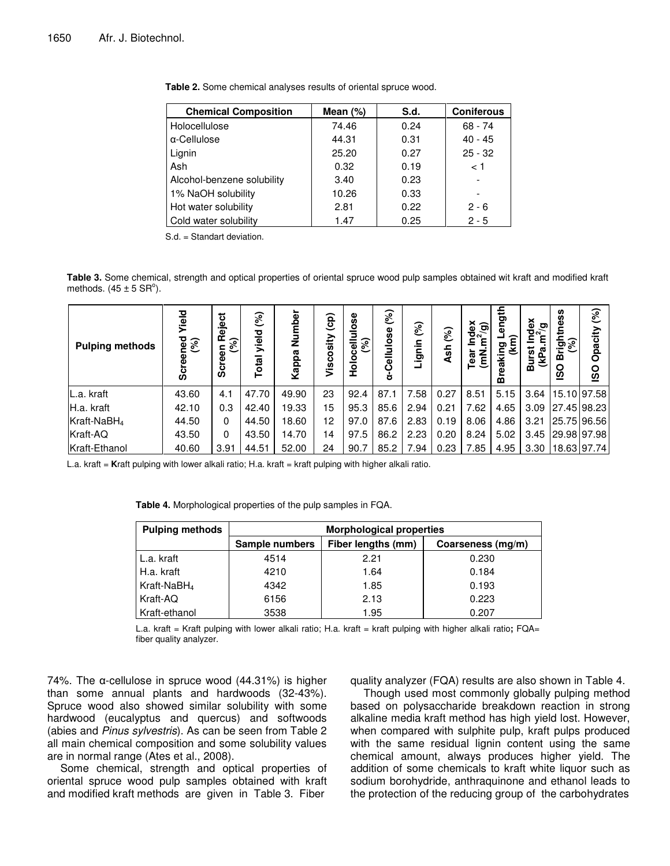| <b>Chemical Composition</b> | Mean $(\%)$ | S.d. | <b>Coniferous</b> |
|-----------------------------|-------------|------|-------------------|
| Holocellulose               | 74.46       | 0.24 | $68 - 74$         |
| α-Cellulose                 | 44.31       | 0.31 | $40 - 45$         |
| Lignin                      | 25.20       | 0.27 | $25 - 32$         |
| Ash                         | 0.32        | 0.19 | < 1               |
| Alcohol-benzene solubility  | 3.40        | 0.23 |                   |
| 1% NaOH solubility          | 10.26       | 0.33 |                   |
| Hot water solubility        | 2.81        | 0.22 | $2 - 6$           |
| Cold water solubility       | 1.47        | 0.25 | $2 - 5$           |

| Table 2. Some chemical analyses results of oriental spruce wood. |  |  |  |  |  |
|------------------------------------------------------------------|--|--|--|--|--|
|------------------------------------------------------------------|--|--|--|--|--|

S.d. = Standart deviation.

**Table 3.** Some chemical, strength and optical properties of oriental spruce wood pulp samples obtained wit kraft and modified kraft methods.  $(45 \pm 5 \text{ SR}^{\circ})$ .

| <b>Pulping methods</b>  | Yield<br>ped<br>(%)<br>အိ | Reject<br>$\mathcal{E}$<br>reen<br>__<br>თ | (%)<br>yield<br>Total | mber<br>ž<br>Kappa | (cp)<br>Viscosity | Holocellulose<br>(%) | $\mathcal{S}$<br>Cellulose<br>ě | (%)<br>Lignin | (%)<br>Ash | Index<br>$m^2$ (g)<br>ξ<br>මූ | ength<br>ත<br>eakil<br>m | Index<br>m <sup>2</sup> /a<br>್ರ<br>ε<br><u>n</u><br>(kPa<br>ᄝ | ness<br>Ξ<br>ঢ়ৣৡ<br>$\mathbf{m}$<br><b>OSI</b> | $\mathcal{S}$<br>Opacity<br><u>so</u> |
|-------------------------|---------------------------|--------------------------------------------|-----------------------|--------------------|-------------------|----------------------|---------------------------------|---------------|------------|-------------------------------|--------------------------|----------------------------------------------------------------|-------------------------------------------------|---------------------------------------|
| L.a. kraft              | 43.60                     | 4.1                                        | 47.70                 | 49.90              | 23                | 92.4                 | 87.1                            | 7.58          | 0.27       | 8.51                          | 5.15                     | 3.64                                                           |                                                 | 15.10 97.58                           |
| H.a. kraft              | 42.10                     | 0.3                                        | 42.40                 | 19.33              | 15                | 95.3                 | 85.6                            | 2.94          | 0.21       | 7.62                          | 4.65                     | 3.09                                                           |                                                 | 27.45 98.23                           |
| Kraft-NaBH <sub>4</sub> | 44.50                     | 0                                          | 44.50                 | 18.60              | 12                | 97.0                 | 87.6                            | 2.83          | 0.19       | 8.06                          | 4.86                     | 3.21                                                           |                                                 | 25.75 96.56                           |
| Kraft-AQ                | 43.50                     | 0                                          | 43.50                 | 14.70              | 14                | 97.5                 | 86.2                            | 2.23          | 0.20       | 8.24                          | 5.02                     | 3.45                                                           |                                                 | 29.98 97.98                           |
| Kraft-Ethanol           | 40.60                     | 3.91                                       | 44.51                 | 52.00              | 24                | 90.7                 | 85.2                            | 7.94          | 0.23       | 7.85                          | 4.95                     | 3.30                                                           |                                                 | 18.63 97.74                           |

L.a. kraft = **K**raft pulping with lower alkali ratio; H.a. kraft = kraft pulping with higher alkali ratio.

| <b>Pulping methods</b>  | <b>Morphological properties</b> |                    |                   |  |  |  |  |  |
|-------------------------|---------------------------------|--------------------|-------------------|--|--|--|--|--|
|                         | Sample numbers                  | Fiber lengths (mm) | Coarseness (mg/m) |  |  |  |  |  |
| L.a. kraft              | 4514                            | 2.21               | 0.230             |  |  |  |  |  |
| H.a. kraft              | 4210                            | 1.64               | 0.184             |  |  |  |  |  |
| Kraft-NaBH <sub>4</sub> | 4342                            | 1.85               | 0.193             |  |  |  |  |  |
| Kraft-AQ                | 6156                            | 2.13               | 0.223             |  |  |  |  |  |
| Kraft-ethanol           | 3538                            | 1.95               | 0.207             |  |  |  |  |  |

**Table 4.** Morphological properties of the pulp samples in FQA.

L.a. kraft = Kraft pulping with lower alkali ratio; H.a. kraft = kraft pulping with higher alkali ratio**;** FQA= fiber quality analyzer.

74%. The  $\alpha$ -cellulose in spruce wood (44.31%) is higher than some annual plants and hardwoods (32-43%). Spruce wood also showed similar solubility with some hardwood (eucalyptus and quercus) and softwoods (abies and *Pinus sylvestris*). As can be seen from Table 2 all main chemical composition and some solubility values are in normal range (Ates et al., 2008).

Some chemical, strength and optical properties of oriental spruce wood pulp samples obtained with kraft and modified kraft methods are given in Table 3. Fiber

quality analyzer (FQA) results are also shown in Table 4.

Though used most commonly globally pulping method based on polysaccharide breakdown reaction in strong alkaline media kraft method has high yield lost. However, when compared with sulphite pulp, kraft pulps produced with the same residual lignin content using the same chemical amount, always produces higher yield. The addition of some chemicals to kraft white liquor such as sodium borohydride, anthraquinone and ethanol leads to the protection of the reducing group of the carbohydrates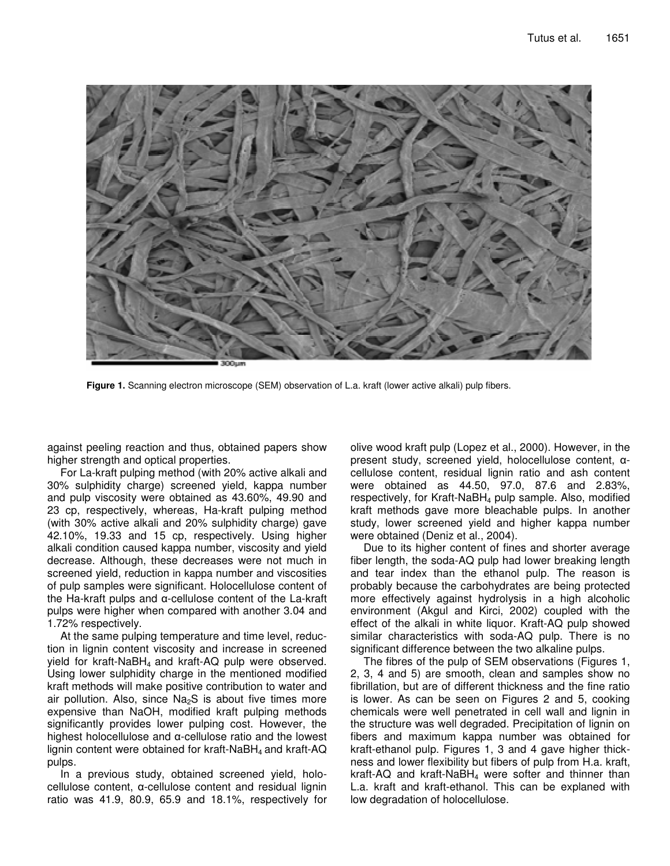

**Figure 1.** Scanning electron microscope (SEM) observation of L.a. kraft (lower active alkali) pulp fibers.

against peeling reaction and thus, obtained papers show higher strength and optical properties.

For La-kraft pulping method (with 20% active alkali and 30% sulphidity charge) screened yield, kappa number and pulp viscosity were obtained as 43.60%, 49.90 and 23 cp, respectively, whereas, Ha-kraft pulping method (with 30% active alkali and 20% sulphidity charge) gave 42.10%, 19.33 and 15 cp, respectively. Using higher alkali condition caused kappa number, viscosity and yield decrease. Although, these decreases were not much in screened yield, reduction in kappa number and viscosities of pulp samples were significant. Holocellulose content of the Ha-kraft pulps and  $\alpha$ -cellulose content of the La-kraft pulps were higher when compared with another 3.04 and 1.72% respectively.

At the same pulping temperature and time level, reduction in lignin content viscosity and increase in screened yield for kraft-NaBH<sub>4</sub> and kraft-AQ pulp were observed. Using lower sulphidity charge in the mentioned modified kraft methods will make positive contribution to water and air pollution. Also, since  $Na<sub>2</sub>S$  is about five times more expensive than NaOH, modified kraft pulping methods significantly provides lower pulping cost. However, the highest holocellulose and  $\alpha$ -cellulose ratio and the lowest lignin content were obtained for kraft-NaBH<sub>4</sub> and kraft-AQ pulps.

In a previous study, obtained screened yield, holo $cellulose content,  $\alpha$ -cellulose content and residual lignin$ ratio was 41.9, 80.9, 65.9 and 18.1%, respectively for

olive wood kraft pulp (Lopez et al., 2000). However, in the present study, screened yield, holocellulose content,  $\alpha$ cellulose content, residual lignin ratio and ash content were obtained as 44.50, 97.0, 87.6 and 2.83%, respectively, for Kraft-NaBH<sub>4</sub> pulp sample. Also, modified kraft methods gave more bleachable pulps. In another study, lower screened yield and higher kappa number were obtained (Deniz et al., 2004).

Due to its higher content of fines and shorter average fiber length, the soda-AQ pulp had lower breaking length and tear index than the ethanol pulp. The reason is probably because the carbohydrates are being protected more effectively against hydrolysis in a high alcoholic environment (Akgul and Kirci, 2002) coupled with the effect of the alkali in white liquor. Kraft-AQ pulp showed similar characteristics with soda-AQ pulp. There is no significant difference between the two alkaline pulps.

The fibres of the pulp of SEM observations (Figures 1, 2, 3, 4 and 5) are smooth, clean and samples show no fibrillation, but are of different thickness and the fine ratio is lower. As can be seen on Figures 2 and 5, cooking chemicals were well penetrated in cell wall and lignin in the structure was well degraded. Precipitation of lignin on fibers and maximum kappa number was obtained for kraft-ethanol pulp. Figures 1, 3 and 4 gave higher thickness and lower flexibility but fibers of pulp from H.a. kraft, kraft-AQ and kraft-NaBH<sub>4</sub> were softer and thinner than L.a. kraft and kraft-ethanol. This can be explaned with low degradation of holocellulose.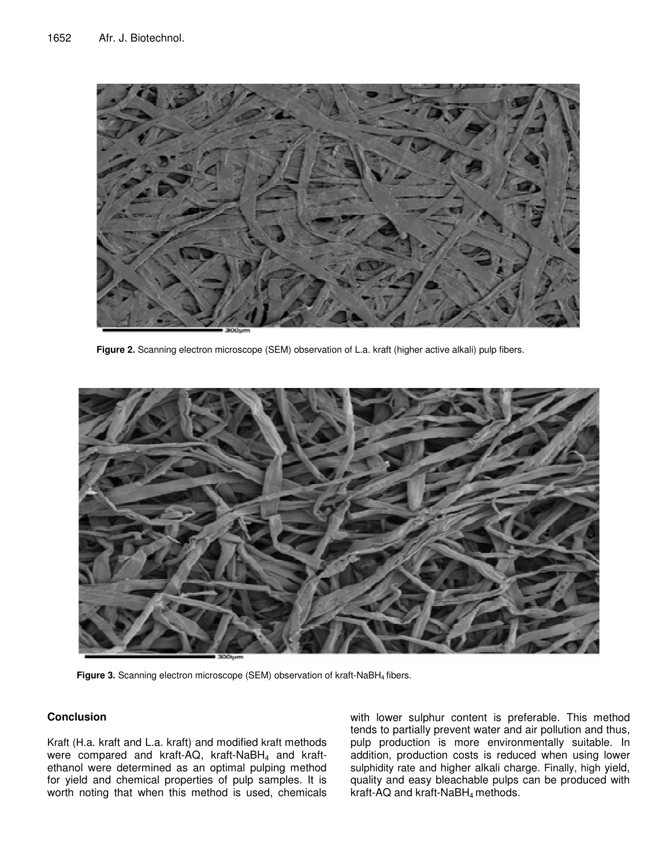

**Figure 2.** Scanning electron microscope (SEM) observation of L.a. kraft (higher active alkali) pulp fibers.



**Figure 3.** Scanning electron microscope (SEM) observation of kraft-NaBH<sup>4</sup> fibers.

## **Conclusion**

Kraft (H.a. kraft and L.a. kraft) and modified kraft methods were compared and kraft-AQ, kraft-NaBH<sub>4</sub> and kraftethanol were determined as an optimal pulping method for yield and chemical properties of pulp samples. It is worth noting that when this method is used, chemicals with lower sulphur content is preferable. This method tends to partially prevent water and air pollution and thus, pulp production is more environmentally suitable. In addition, production costs is reduced when using lower sulphidity rate and higher alkali charge. Finally, high yield, quality and easy bleachable pulps can be produced with kraft-AQ and kraft-NaBH<sup>4</sup> methods.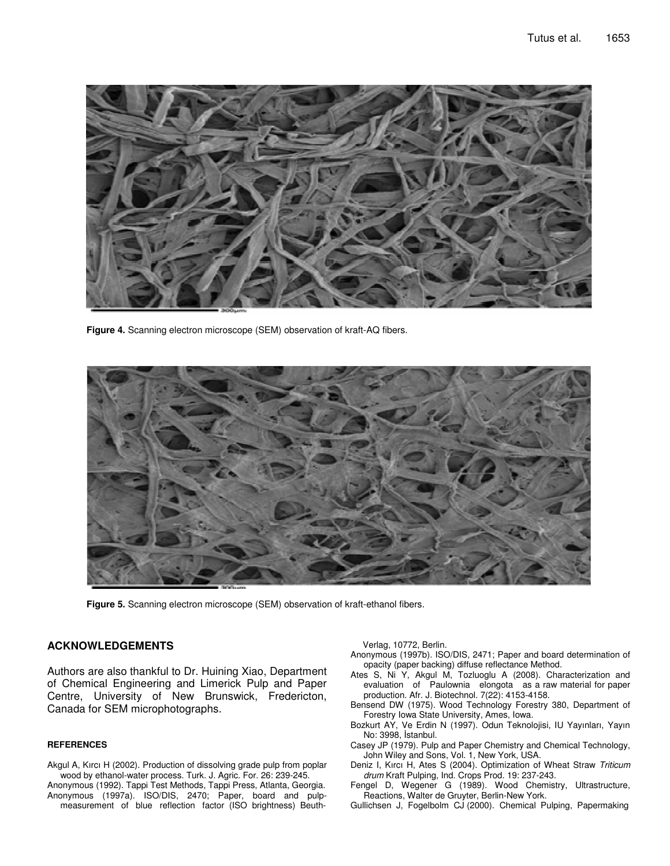

**Figure 4.** Scanning electron microscope (SEM) observation of kraft-AQ fibers.



**Figure 5.** Scanning electron microscope (SEM) observation of kraft-ethanol fibers.

# **ACKNOWLEDGEMENTS**

Authors are also thankful to Dr. Huining Xiao, Department of Chemical Engineering and Limerick Pulp and Paper Centre, University of New Brunswick, Fredericton, Canada for SEM microphotographs.

#### **REFERENCES**

- Akgul A, Kırcı H (2002). Production of dissolving grade pulp from poplar wood by ethanol-water process. Turk. J. Agric. For. 26: 239-245. Anonymous (1992). Tappi Test Methods, Tappi Press, Atlanta, Georgia.
- Anonymous (1997a). ISO/DIS, 2470; Paper, board and pulpmeasurement of blue reflection factor (ISO brightness) Beuth-

Verlag, 10772, Berlin.

- Anonymous (1997b). ISO/DIS, 2471; Paper and board determination of opacity (paper backing) diffuse reflectance Method.
- Ates S, Ni Y, Akgul M, Tozluoglu A (2008). Characterization and evaluation of Paulownia elongota as a raw material for paper production. Afr. J. Biotechnol. 7(22): 4153-4158.
- Bensend DW (1975). Wood Technology Forestry 380, Department of Forestry Iowa State University, Ames, Iowa.
- Bozkurt AY, Ve Erdin N (1997). Odun Teknolojisi, IU Yayınları, Yayın No: 3998, İstanbul.
- Casey JP (1979). Pulp and Paper Chemistry and Chemical Technology, John Wiley and Sons, Vol. 1, New York, USA.
- Deniz I, Kırcı H, Ates S (2004). Optimization of Wheat Straw *Triticum drum* Kraft Pulping, Ind. Crops Prod. 19: 237-243.
- Fengel D, Wegener G (1989). Wood Chemistry, Ultrastructure, Reactions, Walter de Gruyter, Berlin-New York.
- Gullichsen J, Fogelbolm CJ (2000). Chemical Pulping, Papermaking